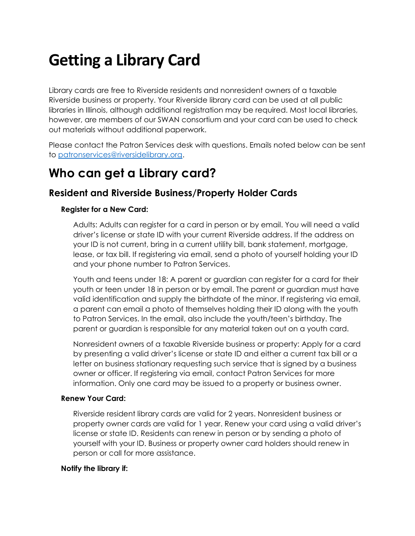# Getting a Library Card

Library cards are free to Riverside residents and nonresident owners of a taxable Riverside business or property. Your Riverside library card can be used at all public libraries in Illinois, although additional registration may be required. Most local libraries, however, are members of our SWAN consortium and your card can be used to check out materials without additional paperwork.

Please contact the Patron Services desk with questions. Emails noted below can be sent to patronservices@riversidelibrary.org.

## Who can get a Library card?

### Resident and Riverside Business/Property Holder Cards

#### Register for a New Card:

Adults: Adults can register for a card in person or by email. You will need a valid driver's license or state ID with your current Riverside address. If the address on your ID is not current, bring in a current utility bill, bank statement, mortgage, lease, or tax bill. If registering via email, send a photo of yourself holding your ID and your phone number to Patron Services.

Youth and teens under 18: A parent or guardian can register for a card for their youth or teen under 18 in person or by email. The parent or guardian must have valid identification and supply the birthdate of the minor. If registering via email, a parent can email a photo of themselves holding their ID along with the youth to Patron Services. In the email, also include the youth/teen's birthday. The parent or guardian is responsible for any material taken out on a youth card.

Nonresident owners of a taxable Riverside business or property: Apply for a card by presenting a valid driver's license or state ID and either a current tax bill or a letter on business stationary requesting such service that is signed by a business owner or officer. If registering via email, contact Patron Services for more information. Only one card may be issued to a property or business owner.

#### Renew Your Card:

Riverside resident library cards are valid for 2 years. Nonresident business or property owner cards are valid for 1 year. Renew your card using a valid driver's license or state ID. Residents can renew in person or by sending a photo of yourself with your ID. Business or property owner card holders should renew in person or call for more assistance.

#### Notify the library if: